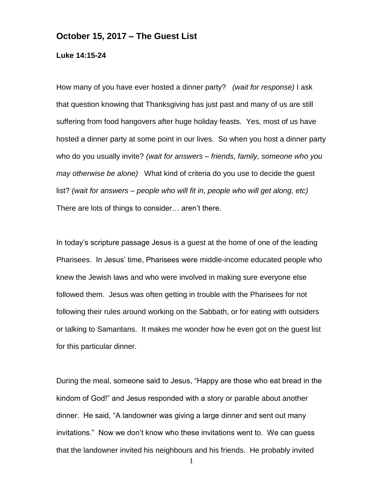## **October 15, 2017 – The Guest List**

**Luke 14:15-24**

How many of you have ever hosted a dinner party? *(wait for response)* I ask that question knowing that Thanksgiving has just past and many of us are still suffering from food hangovers after huge holiday feasts. Yes, most of us have hosted a dinner party at some point in our lives. So when you host a dinner party who do you usually invite? *(wait for answers – friends, family, someone who you may otherwise be alone)* What kind of criteria do you use to decide the guest list? *(wait for answers – people who will fit in, people who will get along, etc)*  There are lots of things to consider… aren't there.

In today's scripture passage Jesus is a guest at the home of one of the leading Pharisees. In Jesus' time, Pharisees were middle-income educated people who knew the Jewish laws and who were involved in making sure everyone else followed them. Jesus was often getting in trouble with the Pharisees for not following their rules around working on the Sabbath, or for eating with outsiders or talking to Samaritans. It makes me wonder how he even got on the guest list for this particular dinner.

During the meal, someone said to Jesus, "Happy are those who eat bread in the kindom of God!" and Jesus responded with a story or parable about another dinner. He said, "A landowner was giving a large dinner and sent out many invitations." Now we don't know who these invitations went to. We can guess that the landowner invited his neighbours and his friends. He probably invited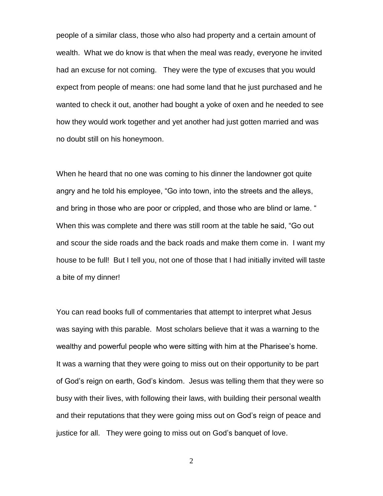people of a similar class, those who also had property and a certain amount of wealth. What we do know is that when the meal was ready, everyone he invited had an excuse for not coming. They were the type of excuses that you would expect from people of means: one had some land that he just purchased and he wanted to check it out, another had bought a yoke of oxen and he needed to see how they would work together and yet another had just gotten married and was no doubt still on his honeymoon.

When he heard that no one was coming to his dinner the landowner got quite angry and he told his employee, "Go into town, into the streets and the alleys, and bring in those who are poor or crippled, and those who are blind or lame. " When this was complete and there was still room at the table he said, "Go out and scour the side roads and the back roads and make them come in. I want my house to be full! But I tell you, not one of those that I had initially invited will taste a bite of my dinner!

You can read books full of commentaries that attempt to interpret what Jesus was saying with this parable. Most scholars believe that it was a warning to the wealthy and powerful people who were sitting with him at the Pharisee's home. It was a warning that they were going to miss out on their opportunity to be part of God's reign on earth, God's kindom. Jesus was telling them that they were so busy with their lives, with following their laws, with building their personal wealth and their reputations that they were going miss out on God's reign of peace and justice for all. They were going to miss out on God's banquet of love.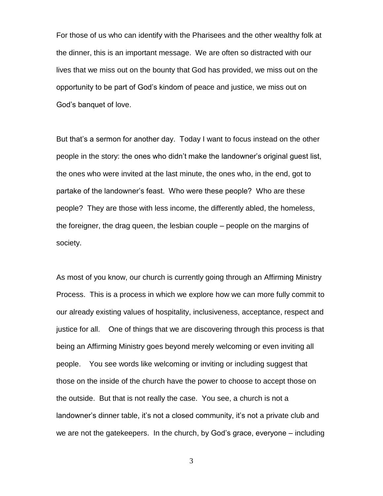For those of us who can identify with the Pharisees and the other wealthy folk at the dinner, this is an important message. We are often so distracted with our lives that we miss out on the bounty that God has provided, we miss out on the opportunity to be part of God's kindom of peace and justice, we miss out on God's banquet of love.

But that's a sermon for another day. Today I want to focus instead on the other people in the story: the ones who didn't make the landowner's original guest list, the ones who were invited at the last minute, the ones who, in the end, got to partake of the landowner's feast. Who were these people? Who are these people? They are those with less income, the differently abled, the homeless, the foreigner, the drag queen, the lesbian couple – people on the margins of society.

As most of you know, our church is currently going through an Affirming Ministry Process. This is a process in which we explore how we can more fully commit to our already existing values of hospitality, inclusiveness, acceptance, respect and justice for all. One of things that we are discovering through this process is that being an Affirming Ministry goes beyond merely welcoming or even inviting all people. You see words like welcoming or inviting or including suggest that those on the inside of the church have the power to choose to accept those on the outside. But that is not really the case. You see, a church is not a landowner's dinner table, it's not a closed community, it's not a private club and we are not the gatekeepers. In the church, by God's grace, everyone – including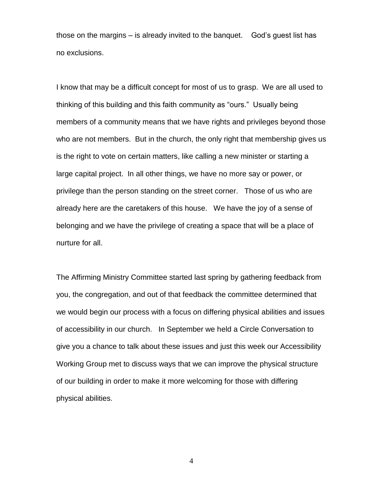those on the margins – is already invited to the banquet. God's guest list has no exclusions.

I know that may be a difficult concept for most of us to grasp. We are all used to thinking of this building and this faith community as "ours." Usually being members of a community means that we have rights and privileges beyond those who are not members. But in the church, the only right that membership gives us is the right to vote on certain matters, like calling a new minister or starting a large capital project. In all other things, we have no more say or power, or privilege than the person standing on the street corner. Those of us who are already here are the caretakers of this house. We have the joy of a sense of belonging and we have the privilege of creating a space that will be a place of nurture for all.

The Affirming Ministry Committee started last spring by gathering feedback from you, the congregation, and out of that feedback the committee determined that we would begin our process with a focus on differing physical abilities and issues of accessibility in our church. In September we held a Circle Conversation to give you a chance to talk about these issues and just this week our Accessibility Working Group met to discuss ways that we can improve the physical structure of our building in order to make it more welcoming for those with differing physical abilities.